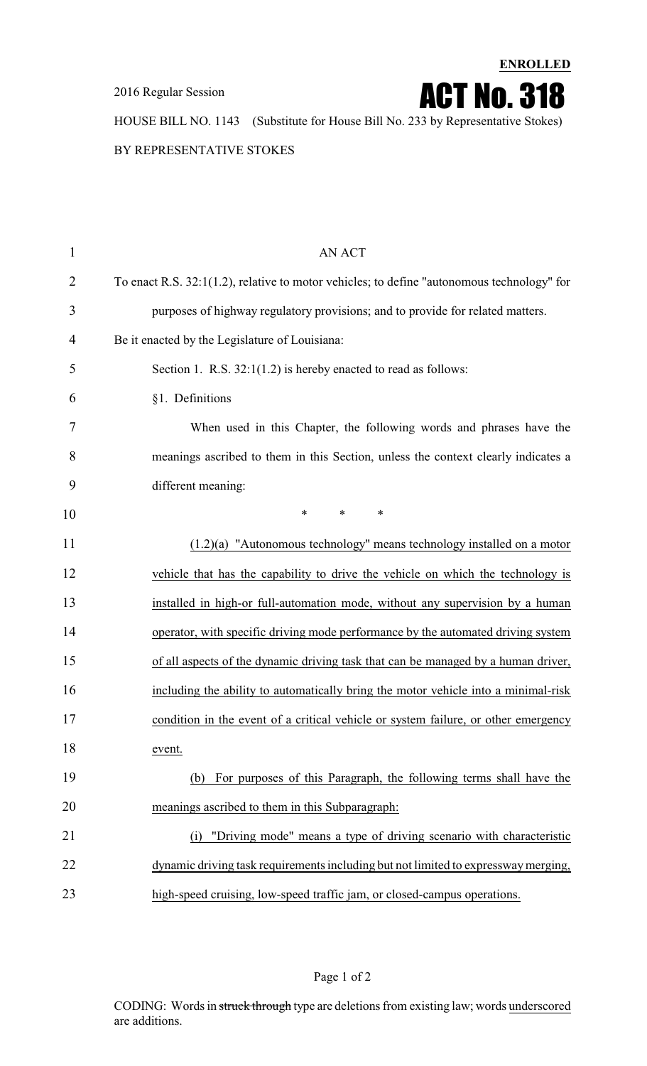2016 Regular Session

**ENROLLED**

ACT No. 318

HOUSE BILL NO. 1143 (Substitute for House Bill No. 233 by Representative Stokes)

BY REPRESENTATIVE STOKES

| $\mathbf{1}$   | <b>AN ACT</b>                                                                              |
|----------------|--------------------------------------------------------------------------------------------|
| $\overline{2}$ | To enact R.S. 32:1(1.2), relative to motor vehicles; to define "autonomous technology" for |
| 3              | purposes of highway regulatory provisions; and to provide for related matters.             |
| 4              | Be it enacted by the Legislature of Louisiana:                                             |
| 5              | Section 1. R.S. 32:1(1.2) is hereby enacted to read as follows:                            |
| 6              | §1. Definitions                                                                            |
| 7              | When used in this Chapter, the following words and phrases have the                        |
| 8              | meanings ascribed to them in this Section, unless the context clearly indicates a          |
| 9              | different meaning:                                                                         |
| 10             | $\ast$<br>$\ast$<br>$\ast$                                                                 |
| 11             | $(1.2)(a)$ "Autonomous technology" means technology installed on a motor                   |
| 12             | vehicle that has the capability to drive the vehicle on which the technology is            |
| 13             | installed in high-or full-automation mode, without any supervision by a human              |
| 14             | operator, with specific driving mode performance by the automated driving system           |
| 15             | of all aspects of the dynamic driving task that can be managed by a human driver,          |
| 16             | including the ability to automatically bring the motor vehicle into a minimal-risk         |
| 17             | condition in the event of a critical vehicle or system failure, or other emergency         |
| 18             | event.                                                                                     |
| 19             | For purposes of this Paragraph, the following terms shall have the<br>(b)                  |
| 20             | meanings ascribed to them in this Subparagraph:                                            |
| 21             | "Driving mode" means a type of driving scenario with characteristic<br>(i)                 |
| 22             | dynamic driving task requirements including but not limited to expressway merging,         |
| 23             | high-speed cruising, low-speed traffic jam, or closed-campus operations.                   |

Page 1 of 2

CODING: Words in struck through type are deletions from existing law; words underscored are additions.